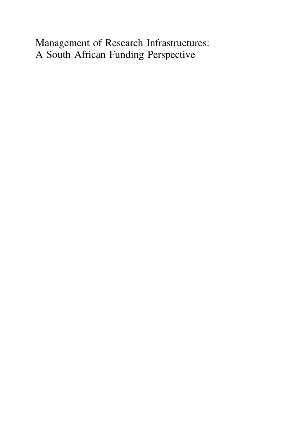Management of Research Infrastructures: A South African Funding Perspective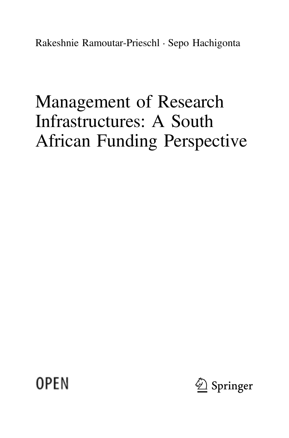# Management of Research Infrastructures: A South African Funding Perspective



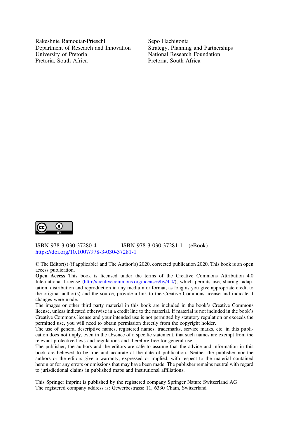Rakeshnie Ramoutar-Prieschl Department of Research and Innovation University of Pretoria Pretoria, South Africa

Sepo Hachigonta Strategy, Planning and Partnerships National Research Foundation Pretoria, South Africa



ISBN 978-3-030-37280-4 ISBN 978-3-030-37281-1 (eBook) <https://doi.org/10.1007/978-3-030-37281-1>

© The Editor(s) (if applicable) and The Author(s) 2020, corrected publication 2020. This book is an open access publication.

Open Access This book is licensed under the terms of the Creative Commons Attribution 4.0 International License ([http://creativecommons.org/licenses/by/4.0/\)](http://creativecommons.org/licenses/by/4.0/), which permits use, sharing, adaptation, distribution and reproduction in any medium or format, as long as you give appropriate credit to the original author(s) and the source, provide a link to the Creative Commons license and indicate if changes were made.

The images or other third party material in this book are included in the book's Creative Commons license, unless indicated otherwise in a credit line to the material. If material is not included in the book's Creative Commons license and your intended use is not permitted by statutory regulation or exceeds the permitted use, you will need to obtain permission directly from the copyright holder.

The use of general descriptive names, registered names, trademarks, service marks, etc. in this publication does not imply, even in the absence of a specific statement, that such names are exempt from the relevant protective laws and regulations and therefore free for general use.

The publisher, the authors and the editors are safe to assume that the advice and information in this book are believed to be true and accurate at the date of publication. Neither the publisher nor the authors or the editors give a warranty, expressed or implied, with respect to the material contained herein or for any errors or omissions that may have been made. The publisher remains neutral with regard to jurisdictional claims in published maps and institutional affiliations.

This Springer imprint is published by the registered company Springer Nature Switzerland AG The registered company address is: Gewerbestrasse 11, 6330 Cham, Switzerland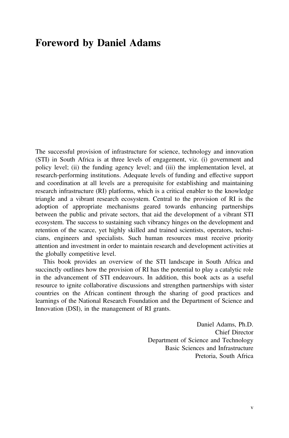#### Foreword by Daniel Adams

The successful provision of infrastructure for science, technology and innovation (STI) in South Africa is at three levels of engagement, viz. (i) government and policy level; (ii) the funding agency level; and (iii) the implementation level, at research-performing institutions. Adequate levels of funding and effective support and coordination at all levels are a prerequisite for establishing and maintaining research infrastructure (RI) platforms, which is a critical enabler to the knowledge triangle and a vibrant research ecosystem. Central to the provision of RI is the adoption of appropriate mechanisms geared towards enhancing partnerships between the public and private sectors, that aid the development of a vibrant STI ecosystem. The success to sustaining such vibrancy hinges on the development and retention of the scarce, yet highly skilled and trained scientists, operators, technicians, engineers and specialists. Such human resources must receive priority attention and investment in order to maintain research and development activities at the globally competitive level.

This book provides an overview of the STI landscape in South Africa and succinctly outlines how the provision of RI has the potential to play a catalytic role in the advancement of STI endeavours. In addition, this book acts as a useful resource to ignite collaborative discussions and strengthen partnerships with sister countries on the African continent through the sharing of good practices and learnings of the National Research Foundation and the Department of Science and Innovation (DSI), in the management of RI grants.

> Daniel Adams, Ph.D. Chief Director Department of Science and Technology Basic Sciences and Infrastructure Pretoria, South Africa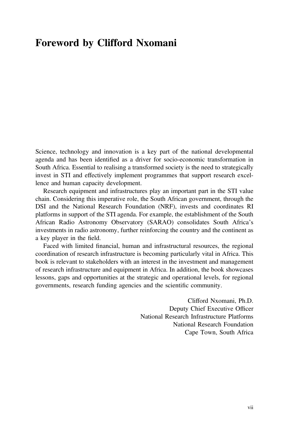#### Foreword by Clifford Nxomani

Science, technology and innovation is a key part of the national developmental agenda and has been identified as a driver for socio-economic transformation in South Africa. Essential to realising a transformed society is the need to strategically invest in STI and effectively implement programmes that support research excellence and human capacity development.

Research equipment and infrastructures play an important part in the STI value chain. Considering this imperative role, the South African government, through the DSI and the National Research Foundation (NRF), invests and coordinates RI platforms in support of the STI agenda. For example, the establishment of the South African Radio Astronomy Observatory (SARAO) consolidates South Africa's investments in radio astronomy, further reinforcing the country and the continent as a key player in the field.

Faced with limited financial, human and infrastructural resources, the regional coordination of research infrastructure is becoming particularly vital in Africa. This book is relevant to stakeholders with an interest in the investment and management of research infrastructure and equipment in Africa. In addition, the book showcases lessons, gaps and opportunities at the strategic and operational levels, for regional governments, research funding agencies and the scientific community.

> Clifford Nxomani, Ph.D. Deputy Chief Executive Officer National Research Infrastructure Platforms National Research Foundation Cape Town, South Africa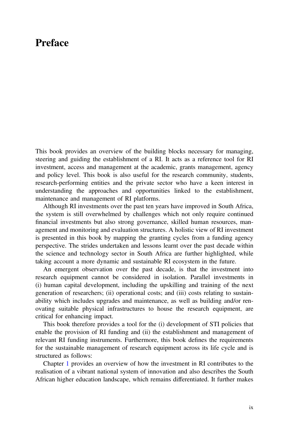### Preface

This book provides an overview of the building blocks necessary for managing, steering and guiding the establishment of a RI. It acts as a reference tool for RI investment, access and management at the academic, grants management, agency and policy level. This book is also useful for the research community, students, research-performing entities and the private sector who have a keen interest in understanding the approaches and opportunities linked to the establishment, maintenance and management of RI platforms.

Although RI investments over the past ten years have improved in South Africa, the system is still overwhelmed by challenges which not only require continued financial investments but also strong governance, skilled human resources, management and monitoring and evaluation structures. A holistic view of RI investment is presented in this book by mapping the granting cycles from a funding agency perspective. The strides undertaken and lessons learnt over the past decade within the science and technology sector in South Africa are further highlighted, while taking account a more dynamic and sustainable RI ecosystem in the future.

An emergent observation over the past decade, is that the investment into research equipment cannot be considered in isolation. Parallel investments in (i) human capital development, including the upskilling and training of the next generation of researchers; (ii) operational costs; and (iii) costs relating to sustainability which includes upgrades and maintenance, as well as building and/or renovating suitable physical infrastructures to house the research equipment, are critical for enhancing impact.

This book therefore provides a tool for the (i) development of STI policies that enable the provision of RI funding and (ii) the establishment and management of relevant RI funding instruments. Furthermore, this book defines the requirements for the sustainable management of research equipment across its life cycle and is structured as follows:

Chapter 1 provides an overview of how the investment in RI contributes to the realisation of a vibrant national system of innovation and also describes the South African higher education landscape, which remains differentiated. It further makes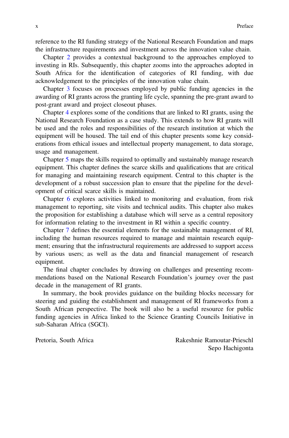reference to the RI funding strategy of the National Research Foundation and maps the infrastructure requirements and investment across the innovation value chain.

Chapter 2 provides a contextual background to the approaches employed to investing in RIs. Subsequently, this chapter zooms into the approaches adopted in South Africa for the identification of categories of RI funding, with due acknowledgement to the principles of the innovation value chain.

Chapter 3 focuses on processes employed by public funding agencies in the awarding of RI grants across the granting life cycle, spanning the pre-grant award to post-grant award and project closeout phases.

Chapter 4 explores some of the conditions that are linked to RI grants, using the National Research Foundation as a case study. This extends to how RI grants will be used and the roles and responsibilities of the research institution at which the equipment will be housed. The tail end of this chapter presents some key considerations from ethical issues and intellectual property management, to data storage, usage and management.

Chapter 5 maps the skills required to optimally and sustainably manage research equipment. This chapter defines the scarce skills and qualifications that are critical for managing and maintaining research equipment. Central to this chapter is the development of a robust succession plan to ensure that the pipeline for the development of critical scarce skills is maintained.

Chapter 6 explores activities linked to monitoring and evaluation, from risk management to reporting, site visits and technical audits. This chapter also makes the proposition for establishing a database which will serve as a central repository for information relating to the investment in RI within a specific country.

Chapter 7 defines the essential elements for the sustainable management of RI, including the human resources required to manage and maintain research equipment; ensuring that the infrastructural requirements are addressed to support access by various users; as well as the data and financial management of research equipment.

The final chapter concludes by drawing on challenges and presenting recommendations based on the National Research Foundation's journey over the past decade in the management of RI grants.

In summary, the book provides guidance on the building blocks necessary for steering and guiding the establishment and management of RI frameworks from a South African perspective. The book will also be a useful resource for public funding agencies in Africa linked to the Science Granting Councils Initiative in sub-Saharan Africa (SGCI).

Pretoria, South Africa **Rakeshnie Ramoutar-Prieschl** Sepo Hachigonta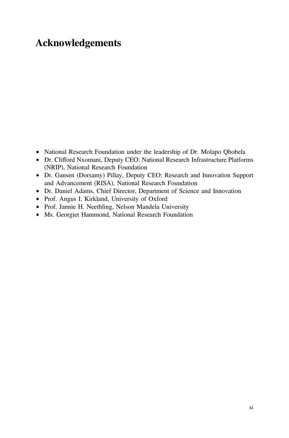## Acknowledgements

- National Research Foundation under the leadership of Dr. Molapo Qhobela
- Dr. Clifford Nxomani, Deputy CEO: National Research Infrastructure Platforms (NRIP), National Research Foundation
- Dr. Gansen (Dorsamy) Pillay, Deputy CEO: Research and Innovation Support and Advancement (RISA), National Research Foundation
- Dr. Daniel Adams, Chief Director, Department of Science and Innovation
- Prof. Angus I. Kirkland, University of Oxford
- Prof. Jannie H. Neethling, Nelson Mandela University
- Ms. Georgiet Hammond, National Research Foundation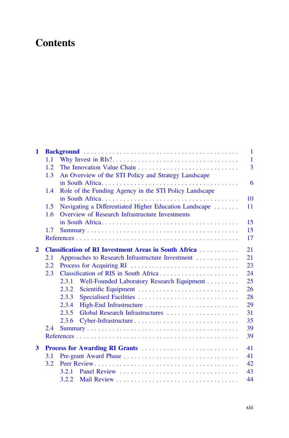### **Contents**

| $\mathbf{1}$ | $\mathbf{1}$ |                                                                                                       |              |
|--------------|--------------|-------------------------------------------------------------------------------------------------------|--------------|
|              | 1.1          |                                                                                                       | $\mathbf{1}$ |
|              | 1.2.         |                                                                                                       | 3            |
|              | 1.3          | An Overview of the STI Policy and Strategy Landscape                                                  |              |
|              |              |                                                                                                       | 6            |
|              | 1.4          | Role of the Funding Agency in the STI Policy Landscape                                                |              |
|              |              |                                                                                                       | 10           |
|              | 1.5          | Navigating a Differentiated Higher Education Landscape                                                | 11           |
|              | 1.6          | Overview of Research Infrastructure Investments                                                       |              |
|              |              |                                                                                                       | 15           |
|              | 1.7          |                                                                                                       | 15           |
|              |              |                                                                                                       | 17           |
| $\mathbf{2}$ |              | <b>Classification of RI Investment Areas in South Africa </b>                                         | 21           |
|              | 2.1          | Approaches to Research Infrastructure Investment                                                      | 21           |
|              | 2.2          | Process for Acquiring RI                                                                              | 23           |
|              | 2.3          | Classification of RIS in South Africa                                                                 | 24           |
|              |              | Well-Founded Laboratory Research Equipment<br>2.3.1                                                   | 25           |
|              |              | Scientific Equipment<br>2.3.2                                                                         | 26           |
|              |              | Specialised Facilities<br>2.3.3                                                                       | 28           |
|              |              | 2.3.4<br>High-End Infrastructure                                                                      | 29           |
|              |              | Global Research Infrastructures<br>2.3.5                                                              | 31           |
|              |              | 2.3.6<br>$Cyber-Infrastructure \ldots \ldots \ldots \ldots \ldots \ldots \ldots \ldots \ldots \ldots$ | 35           |
|              | 2.4          |                                                                                                       | 39           |
|              |              |                                                                                                       | 39           |
| 3            |              | Process for Awarding RI Grants                                                                        | 41           |
|              | 3.1          | Pre-grant Award Phase                                                                                 | 41           |
|              | 3.2          |                                                                                                       |              |
|              |              | 3.2.1                                                                                                 | 42<br>43     |
|              |              | 3.2.2                                                                                                 | 44           |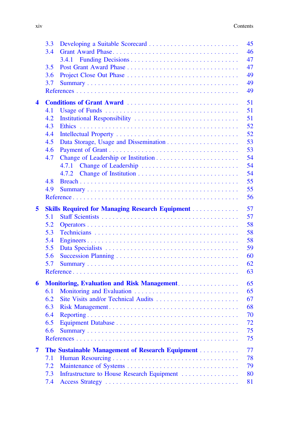|   | 3.3 |                                                         | 45       |
|---|-----|---------------------------------------------------------|----------|
|   | 3.4 |                                                         | 46       |
|   |     |                                                         | 47       |
|   | 3.5 |                                                         | 47       |
|   | 3.6 | Project Close Out Phase                                 | 49       |
|   | 3.7 |                                                         | 49       |
|   |     |                                                         | 49       |
| 4 |     | Conditions of Grant Award                               | 51       |
|   | 4.1 |                                                         | 51       |
|   | 4.2 |                                                         | 51       |
|   | 4.3 |                                                         | 52       |
|   | 4.4 |                                                         | 52       |
|   | 4.5 |                                                         | 53       |
|   | 4.6 |                                                         | 53       |
|   | 4.7 |                                                         | 54       |
|   |     |                                                         | 54       |
|   |     |                                                         | 54       |
|   | 4.8 |                                                         | 55       |
|   | 4.9 |                                                         | 55       |
|   |     |                                                         | 56       |
| 5 |     | <b>Skills Required for Managing Research Equipment </b> | 57       |
|   | 5.1 |                                                         | 57       |
|   | 5.2 |                                                         | 58       |
|   | 5.3 |                                                         | 58       |
|   | 5.4 |                                                         | 58       |
|   | 5.5 |                                                         | 59       |
|   | 5.6 |                                                         | 60       |
|   | 5.7 |                                                         | 62       |
|   |     |                                                         | 63       |
|   |     |                                                         |          |
| 6 |     | Monitoring, Evaluation and Risk Management.             | 65       |
|   | 6.1 | Monitoring and Evaluation                               | 65       |
|   | 6.2 |                                                         | 67       |
|   | 6.3 |                                                         | 68       |
|   | 6.4 |                                                         | 70       |
|   | 6.5 |                                                         | 72<br>75 |
|   | 6.6 |                                                         |          |
|   |     |                                                         | 75       |
| 7 |     | The Sustainable Management of Research Equipment        | 77       |
|   | 7.1 |                                                         | 78       |
|   | 7.2 |                                                         | 79       |
|   | 7.3 | Infrastructure to House Research Equipment              | 80       |
|   | 7.4 |                                                         | 81       |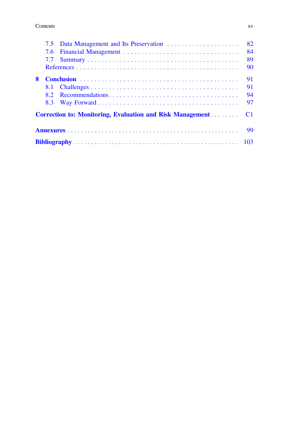#### Contents xv

|                                                                        | 7.5 |  | 82 |  |  |  |  |  |  |
|------------------------------------------------------------------------|-----|--|----|--|--|--|--|--|--|
|                                                                        | 7.6 |  | 84 |  |  |  |  |  |  |
|                                                                        | 7.7 |  | 89 |  |  |  |  |  |  |
|                                                                        |     |  | 90 |  |  |  |  |  |  |
| 8                                                                      |     |  | 91 |  |  |  |  |  |  |
|                                                                        | 8.1 |  | 91 |  |  |  |  |  |  |
|                                                                        | 82  |  | 94 |  |  |  |  |  |  |
|                                                                        | 8.3 |  | 97 |  |  |  |  |  |  |
| <b>Correction to: Monitoring, Evaluation and Risk Management</b><br>C1 |     |  |    |  |  |  |  |  |  |
| 99                                                                     |     |  |    |  |  |  |  |  |  |
|                                                                        |     |  |    |  |  |  |  |  |  |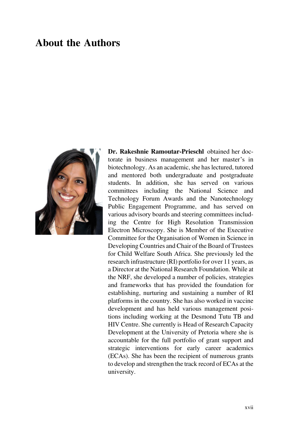### About the Authors



Dr. Rakeshnie Ramoutar-Prieschl obtained her doctorate in business management and her master's in biotechnology. As an academic, she has lectured, tutored and mentored both undergraduate and postgraduate students. In addition, she has served on various committees including the National Science and Technology Forum Awards and the Nanotechnology Public Engagement Programme, and has served on various advisory boards and steering committees including the Centre for High Resolution Transmission Electron Microscopy. She is Member of the Executive Committee for the Organisation of Women in Science in Developing Countries and Chair of the Board of Trustees for Child Welfare South Africa. She previously led the research infrastructure (RI) portfolio for over 11 years, as a Director at the National Research Foundation. While at the NRF, she developed a number of policies, strategies and frameworks that has provided the foundation for establishing, nurturing and sustaining a number of RI platforms in the country. She has also worked in vaccine development and has held various management positions including working at the Desmond Tutu TB and HIV Centre. She currently is Head of Research Capacity Development at the University of Pretoria where she is accountable for the full portfolio of grant support and strategic interventions for early career academics (ECAs). She has been the recipient of numerous grants to develop and strengthen the track record of ECAs at the university.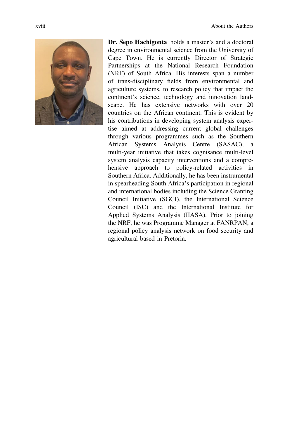

Dr. Sepo Hachigonta holds a master's and a doctoral degree in environmental science from the University of Cape Town. He is currently Director of Strategic Partnerships at the National Research Foundation (NRF) of South Africa. His interests span a number of trans-disciplinary fields from environmental and agriculture systems, to research policy that impact the continent's science, technology and innovation landscape. He has extensive networks with over 20 countries on the African continent. This is evident by his contributions in developing system analysis expertise aimed at addressing current global challenges through various programmes such as the Southern African Systems Analysis Centre (SASAC), a multi-year initiative that takes cognisance multi-level system analysis capacity interventions and a comprehensive approach to policy-related activities in Southern Africa. Additionally, he has been instrumental in spearheading South Africa's participation in regional and international bodies including the Science Granting Council Initiative (SGCI), the International Science Council (ISC) and the International Institute for Applied Systems Analysis (IIASA). Prior to joining the NRF, he was Programme Manager at FANRPAN, a regional policy analysis network on food security and agricultural based in Pretoria.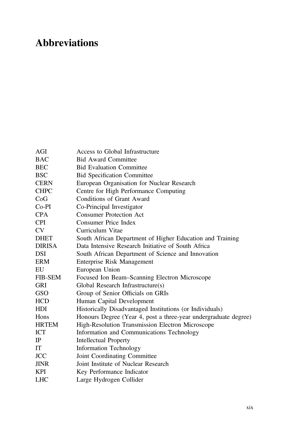## Abbreviations

| AGI            | Access to Global Infrastructure                                 |
|----------------|-----------------------------------------------------------------|
| <b>BAC</b>     | <b>Bid Award Committee</b>                                      |
| <b>BEC</b>     | <b>Bid Evaluation Committee</b>                                 |
| <b>BSC</b>     | <b>Bid Specification Committee</b>                              |
| <b>CERN</b>    | European Organisation for Nuclear Research                      |
| <b>CHPC</b>    | Centre for High Performance Computing                           |
| CoG            | <b>Conditions of Grant Award</b>                                |
| $Co-PI$        | Co-Principal Investigator                                       |
| <b>CPA</b>     | <b>Consumer Protection Act</b>                                  |
| <b>CPI</b>     | Consumer Price Index                                            |
| <b>CV</b>      | Curriculum Vitae                                                |
| <b>DHET</b>    | South African Department of Higher Education and Training       |
| <b>DIRISA</b>  | Data Intensive Research Initiative of South Africa              |
| <b>DSI</b>     | South African Department of Science and Innovation              |
| <b>ERM</b>     | <b>Enterprise Risk Management</b>                               |
| EU             | European Union                                                  |
| <b>FIB-SEM</b> | Focused Ion Beam-Scanning Electron Microscope                   |
| <b>GRI</b>     | Global Research Infrastructure(s)                               |
| <b>GSO</b>     | Group of Senior Officials on GRIs                               |
| <b>HCD</b>     | Human Capital Development                                       |
| <b>HDI</b>     | Historically Disadvantaged Institutions (or Individuals)        |
| Hons           | Honours Degree (Year 4, post a three-year undergraduate degree) |
| <b>HRTEM</b>   | High-Resolution Transmission Electron Microscope                |
| <b>ICT</b>     | Information and Communications Technology                       |
| <b>IP</b>      | <b>Intellectual Property</b>                                    |
| <b>IT</b>      | <b>Information Technology</b>                                   |
| <b>JCC</b>     | Joint Coordinating Committee                                    |
| <b>JINR</b>    | Joint Institute of Nuclear Research                             |
| <b>KPI</b>     | Key Performance Indicator                                       |
| <b>LHC</b>     | Large Hydrogen Collider                                         |
|                |                                                                 |